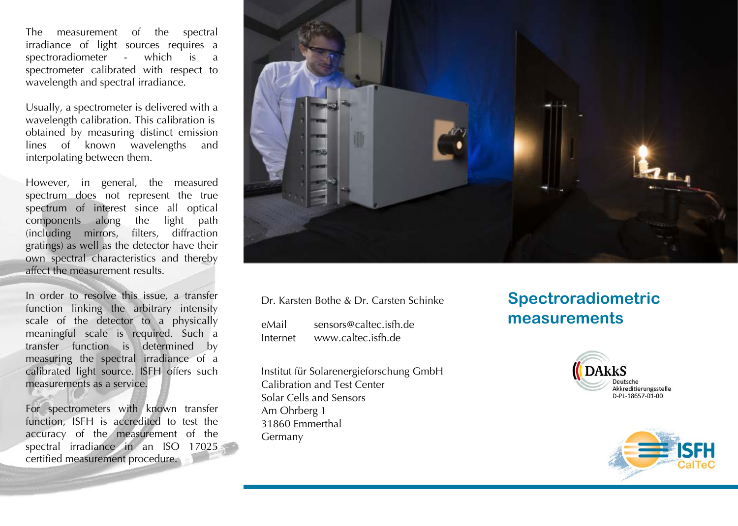The measurement of the spectral irradiance of light sources requires a spectroradiometer - which is a spectrometer calibrated with respect to wavelength and spectral irradiance.

Usually, a spectrometer is delivered with a wavelength calibration. This calibration is obtained by measuring distinct emission lines of known wavelengths and interpolating between them.

However, in general, the measured spectrum does not represent the true spectrum of interest since all optical components along the light path (including mirrors, filters, diffraction gratings) as well as the detector have their own spectral characteristics and thereby affect the measurement results.

In order to resolve this issue, a transfer function linking the arbitrary intensity scale of the detector to a physically meaningful scale is required. Such a transfer function is determined by measuring the spectral irradiance of a calibrated light source. ISFH offers such measurements as a service.

For spectrometers with known transfer function, ISFH is accredited to test the accuracy of the measurement of the spectral irradiance in an ISO 17025 certified measurement procedure.



Dr. Karsten Bothe & Dr. Carsten Schinke

eMail Internet sensors@caltec.isfh.de www.caltec.isfh.de

Institut für Solarenergieforschung GmbH Calibration and Test Center Solar Cells and Sensors Am Ohrberg 1 31860 Emmerthal Germany

## **Spectroradiometric measurements**